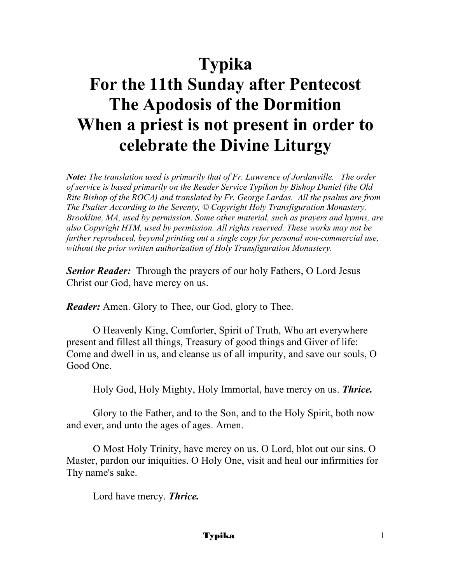# **Typika**

# **For the 11th Sunday after Pentecost The Apodosis of the Dormition When a priest is not present in order to celebrate the Divine Liturgy**

*Note: The translation used is primarily that of Fr. Lawrence of Jordanville. The order of service is based primarily on the Reader Service Typikon by Bishop Daniel (the Old Rite Bishop of the ROCA) and translated by Fr. George Lardas. All the psalms are from The Psalter According to the Seventy, © Copyright Holy Transfiguration Monastery, Brookline, MA, used by permission. Some other material, such as prayers and hymns, are also Copyright HTM, used by permission. All rights reserved. These works may not be further reproduced, beyond printing out a single copy for personal non-commercial use, without the prior written authorization of Holy Transfiguration Monastery.* 

*Senior Reader:* Through the prayers of our holy Fathers, O Lord Jesus Christ our God, have mercy on us.

*Reader:* Amen. Glory to Thee, our God, glory to Thee.

O Heavenly King, Comforter, Spirit of Truth, Who art everywhere present and fillest all things, Treasury of good things and Giver of life: Come and dwell in us, and cleanse us of all impurity, and save our souls, O Good One.

Holy God, Holy Mighty, Holy Immortal, have mercy on us. *Thrice.*

Glory to the Father, and to the Son, and to the Holy Spirit, both now and ever, and unto the ages of ages. Amen.

O Most Holy Trinity, have mercy on us. O Lord, blot out our sins. O Master, pardon our iniquities. O Holy One, visit and heal our infirmities for Thy name's sake.

Lord have mercy. *Thrice.*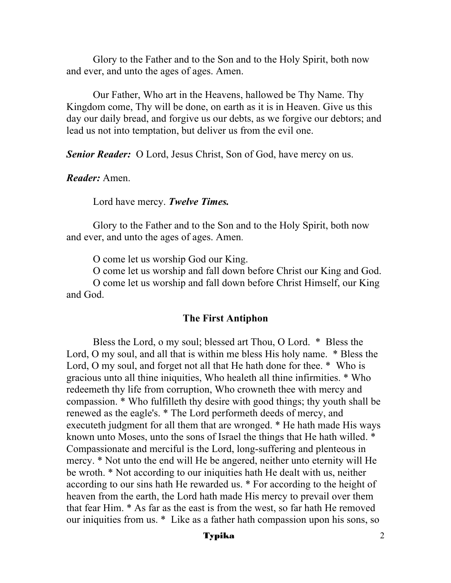Glory to the Father and to the Son and to the Holy Spirit, both now and ever, and unto the ages of ages. Amen.

Our Father, Who art in the Heavens, hallowed be Thy Name. Thy Kingdom come, Thy will be done, on earth as it is in Heaven. Give us this day our daily bread, and forgive us our debts, as we forgive our debtors; and lead us not into temptation, but deliver us from the evil one.

*Senior Reader:* O Lord, Jesus Christ, Son of God, have mercy on us.

*Reader:* Amen.

Lord have mercy. *Twelve Times.*

Glory to the Father and to the Son and to the Holy Spirit, both now and ever, and unto the ages of ages. Amen.

O come let us worship God our King.

O come let us worship and fall down before Christ our King and God.

O come let us worship and fall down before Christ Himself, our King and God.

#### **The First Antiphon**

Bless the Lord, o my soul; blessed art Thou, O Lord. \* Bless the Lord, O my soul, and all that is within me bless His holy name. \* Bless the Lord, O my soul, and forget not all that He hath done for thee.  $*$  Who is gracious unto all thine iniquities, Who healeth all thine infirmities. \* Who redeemeth thy life from corruption, Who crowneth thee with mercy and compassion. \* Who fulfilleth thy desire with good things; thy youth shall be renewed as the eagle's. \* The Lord performeth deeds of mercy, and executeth judgment for all them that are wronged. \* He hath made His ways known unto Moses, unto the sons of Israel the things that He hath willed. \* Compassionate and merciful is the Lord, long-suffering and plenteous in mercy. \* Not unto the end will He be angered, neither unto eternity will He be wroth. \* Not according to our iniquities hath He dealt with us, neither according to our sins hath He rewarded us. \* For according to the height of heaven from the earth, the Lord hath made His mercy to prevail over them that fear Him. \* As far as the east is from the west, so far hath He removed our iniquities from us. \* Like as a father hath compassion upon his sons, so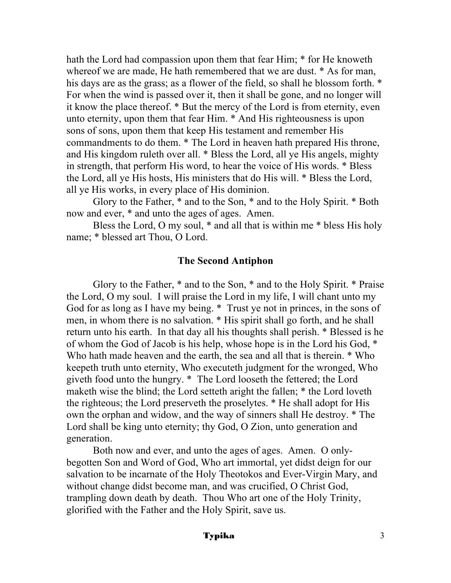hath the Lord had compassion upon them that fear Him; \* for He knoweth whereof we are made, He hath remembered that we are dust. \* As for man, his days are as the grass; as a flower of the field, so shall he blossom forth.  $*$ For when the wind is passed over it, then it shall be gone, and no longer will it know the place thereof. \* But the mercy of the Lord is from eternity, even unto eternity, upon them that fear Him. \* And His righteousness is upon sons of sons, upon them that keep His testament and remember His commandments to do them. \* The Lord in heaven hath prepared His throne, and His kingdom ruleth over all. \* Bless the Lord, all ye His angels, mighty in strength, that perform His word, to hear the voice of His words. \* Bless the Lord, all ye His hosts, His ministers that do His will. \* Bless the Lord, all ye His works, in every place of His dominion.

Glory to the Father, \* and to the Son, \* and to the Holy Spirit. \* Both now and ever, \* and unto the ages of ages. Amen.

Bless the Lord, O my soul, \* and all that is within me \* bless His holy name; \* blessed art Thou, O Lord.

#### **The Second Antiphon**

Glory to the Father, \* and to the Son, \* and to the Holy Spirit. \* Praise the Lord, O my soul. I will praise the Lord in my life, I will chant unto my God for as long as I have my being. \* Trust ye not in princes, in the sons of men, in whom there is no salvation. \* His spirit shall go forth, and he shall return unto his earth. In that day all his thoughts shall perish. \* Blessed is he of whom the God of Jacob is his help, whose hope is in the Lord his God, \* Who hath made heaven and the earth, the sea and all that is therein. \* Who keepeth truth unto eternity, Who executeth judgment for the wronged, Who giveth food unto the hungry. \* The Lord looseth the fettered; the Lord maketh wise the blind; the Lord setteth aright the fallen; \* the Lord loveth the righteous; the Lord preserveth the proselytes. \* He shall adopt for His own the orphan and widow, and the way of sinners shall He destroy. \* The Lord shall be king unto eternity; thy God, O Zion, unto generation and generation.

Both now and ever, and unto the ages of ages. Amen. O onlybegotten Son and Word of God, Who art immortal, yet didst deign for our salvation to be incarnate of the Holy Theotokos and Ever-Virgin Mary, and without change didst become man, and was crucified, O Christ God, trampling down death by death. Thou Who art one of the Holy Trinity, glorified with the Father and the Holy Spirit, save us.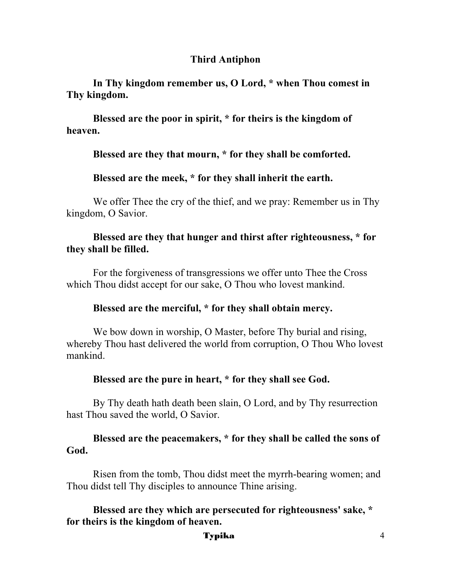#### **Third Antiphon**

**In Thy kingdom remember us, O Lord, \* when Thou comest in Thy kingdom.**

**Blessed are the poor in spirit, \* for theirs is the kingdom of heaven.** 

**Blessed are they that mourn, \* for they shall be comforted.** 

**Blessed are the meek, \* for they shall inherit the earth.** 

We offer Thee the cry of the thief, and we pray: Remember us in Thy kingdom, O Savior.

## **Blessed are they that hunger and thirst after righteousness, \* for they shall be filled.**

For the forgiveness of transgressions we offer unto Thee the Cross which Thou didst accept for our sake, O Thou who lovest mankind.

## **Blessed are the merciful, \* for they shall obtain mercy.**

We bow down in worship, O Master, before Thy burial and rising, whereby Thou hast delivered the world from corruption, O Thou Who lovest mankind.

# **Blessed are the pure in heart, \* for they shall see God.**

By Thy death hath death been slain, O Lord, and by Thy resurrection hast Thou saved the world, O Savior.

# **Blessed are the peacemakers, \* for they shall be called the sons of God.**

Risen from the tomb, Thou didst meet the myrrh-bearing women; and Thou didst tell Thy disciples to announce Thine arising.

## **Blessed are they which are persecuted for righteousness' sake, \* for theirs is the kingdom of heaven.**

#### Typika 4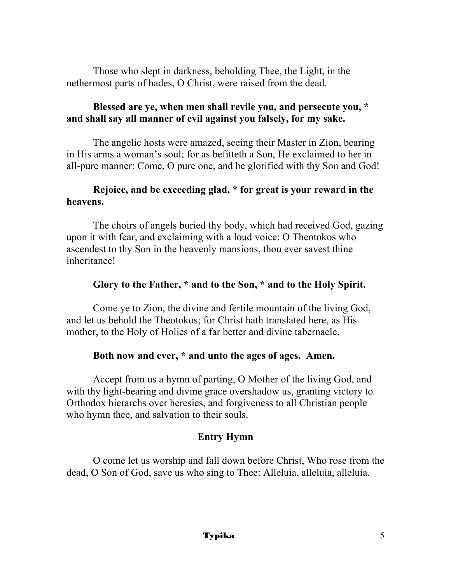Those who slept in darkness, beholding Thee, the Light, in the nethermost parts of hades, O Christ, were raised from the dead.

#### **Blessed are ye, when men shall revile you, and persecute you, \* and shall say all manner of evil against you falsely, for my sake.**

The angelic hosts were amazed, seeing their Master in Zion, bearing in His arms a woman's soul; for as befitteth a Son, He exclaimed to her in all-pure manner: Come, O pure one, and be glorified with thy Son and God!

### **Rejoice, and be exceeding glad, \* for great is your reward in the heavens.**

The choirs of angels buried thy body, which had received God, gazing upon it with fear, and exclaiming with a loud voice: O Theotokos who ascendest to thy Son in the heavenly mansions, thou ever savest thine inheritance!

### **Glory to the Father, \* and to the Son, \* and to the Holy Spirit.**

Come ye to Zion, the divine and fertile mountain of the living God, and let us behold the Theotokos; for Christ hath translated here, as His mother, to the Holy of Holies of a far better and divine tabernacle.

#### **Both now and ever, \* and unto the ages of ages. Amen.**

Accept from us a hymn of parting, O Mother of the living God, and with thy light-bearing and divine grace overshadow us, granting victory to Orthodox hierarchs over heresies, and forgiveness to all Christian people who hymn thee, and salvation to their souls.

## **Entry Hymn**

O come let us worship and fall down before Christ, Who rose from the dead, O Son of God, save us who sing to Thee: Alleluia, alleluia, alleluia.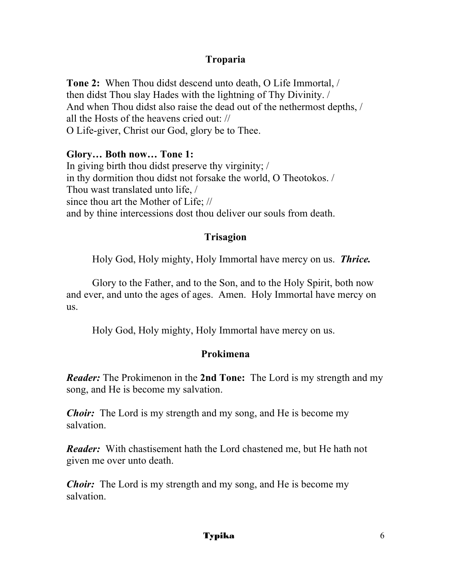## **Troparia**

**Tone 2:** When Thou didst descend unto death, O Life Immortal, / then didst Thou slay Hades with the lightning of Thy Divinity. / And when Thou didst also raise the dead out of the nethermost depths, / all the Hosts of the heavens cried out: // O Life-giver, Christ our God, glory be to Thee.

#### **Glory… Both now… Tone 1:**

In giving birth thou didst preserve thy virginity; / in thy dormition thou didst not forsake the world, O Theotokos. / Thou wast translated unto life, / since thou art the Mother of Life; // and by thine intercessions dost thou deliver our souls from death.

## **Trisagion**

Holy God, Holy mighty, Holy Immortal have mercy on us. *Thrice.*

 Glory to the Father, and to the Son, and to the Holy Spirit, both now and ever, and unto the ages of ages. Amen. Holy Immortal have mercy on us.

Holy God, Holy mighty, Holy Immortal have mercy on us.

# **Prokimena**

*Reader:* The Prokimenon in the **2nd Tone:** The Lord is my strength and my song, and He is become my salvation.

*Choir*: The Lord is my strength and my song, and He is become my salvation.

*Reader:* With chastisement hath the Lord chastened me, but He hath not given me over unto death.

*Choir*: The Lord is my strength and my song, and He is become my salvation.

## Typika 6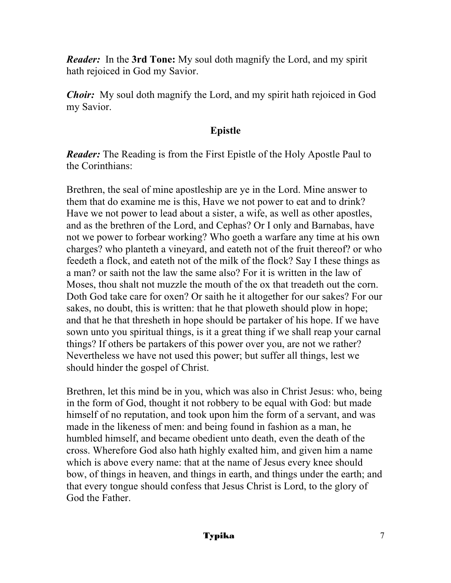*Reader:* In the **3rd Tone:** My soul doth magnify the Lord, and my spirit hath rejoiced in God my Savior.

*Choir*: My soul doth magnify the Lord, and my spirit hath rejoiced in God my Savior.

## **Epistle**

*Reader:* The Reading is from the First Epistle of the Holy Apostle Paul to the Corinthians:

Brethren, the seal of mine apostleship are ye in the Lord. Mine answer to them that do examine me is this, Have we not power to eat and to drink? Have we not power to lead about a sister, a wife, as well as other apostles, and as the brethren of the Lord, and Cephas? Or I only and Barnabas, have not we power to forbear working? Who goeth a warfare any time at his own charges? who planteth a vineyard, and eateth not of the fruit thereof? or who feedeth a flock, and eateth not of the milk of the flock? Say I these things as a man? or saith not the law the same also? For it is written in the law of Moses, thou shalt not muzzle the mouth of the ox that treadeth out the corn. Doth God take care for oxen? Or saith he it altogether for our sakes? For our sakes, no doubt, this is written: that he that ploweth should plow in hope; and that he that thresheth in hope should be partaker of his hope. If we have sown unto you spiritual things, is it a great thing if we shall reap your carnal things? If others be partakers of this power over you, are not we rather? Nevertheless we have not used this power; but suffer all things, lest we should hinder the gospel of Christ.

Brethren, let this mind be in you, which was also in Christ Jesus: who, being in the form of God, thought it not robbery to be equal with God: but made himself of no reputation, and took upon him the form of a servant, and was made in the likeness of men: and being found in fashion as a man, he humbled himself, and became obedient unto death, even the death of the cross. Wherefore God also hath highly exalted him, and given him a name which is above every name: that at the name of Jesus every knee should bow, of things in heaven, and things in earth, and things under the earth; and that every tongue should confess that Jesus Christ is Lord, to the glory of God the Father.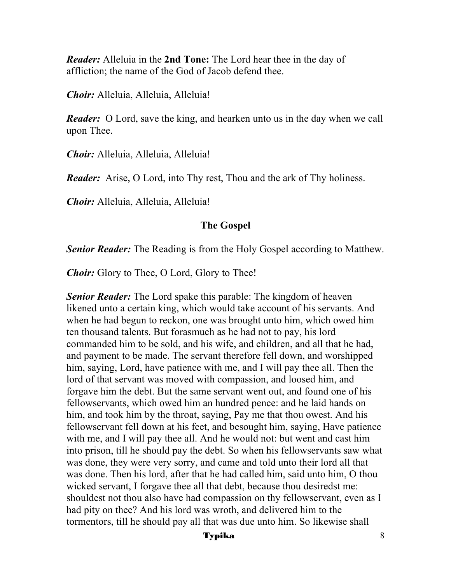*Reader:* Alleluia in the **2nd Tone:** The Lord hear thee in the day of affliction; the name of the God of Jacob defend thee.

*Choir:* Alleluia, Alleluia, Alleluia!

*Reader:* O Lord, save the king, and hearken unto us in the day when we call upon Thee.

*Choir:* Alleluia, Alleluia, Alleluia!

*Reader:* Arise, O Lord, into Thy rest, Thou and the ark of Thy holiness.

*Choir:* Alleluia, Alleluia, Alleluia!

#### **The Gospel**

*Senior Reader:* The Reading is from the Holy Gospel according to Matthew.

*Choir:* Glory to Thee, O Lord, Glory to Thee!

*Senior Reader:* The Lord spake this parable: The kingdom of heaven likened unto a certain king, which would take account of his servants. And when he had begun to reckon, one was brought unto him, which owed him ten thousand talents. But forasmuch as he had not to pay, his lord commanded him to be sold, and his wife, and children, and all that he had, and payment to be made. The servant therefore fell down, and worshipped him, saying, Lord, have patience with me, and I will pay thee all. Then the lord of that servant was moved with compassion, and loosed him, and forgave him the debt. But the same servant went out, and found one of his fellowservants, which owed him an hundred pence: and he laid hands on him, and took him by the throat, saying, Pay me that thou owest. And his fellowservant fell down at his feet, and besought him, saying, Have patience with me, and I will pay thee all. And he would not: but went and cast him into prison, till he should pay the debt. So when his fellowservants saw what was done, they were very sorry, and came and told unto their lord all that was done. Then his lord, after that he had called him, said unto him, O thou wicked servant, I forgave thee all that debt, because thou desiredst me: shouldest not thou also have had compassion on thy fellowservant, even as I had pity on thee? And his lord was wroth, and delivered him to the tormentors, till he should pay all that was due unto him. So likewise shall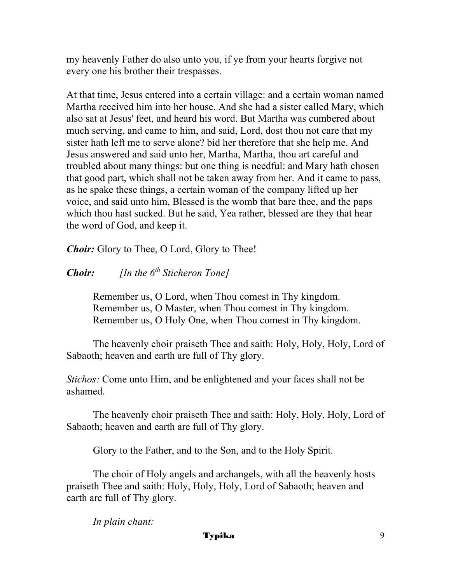my heavenly Father do also unto you, if ye from your hearts forgive not every one his brother their trespasses.

At that time, Jesus entered into a certain village: and a certain woman named Martha received him into her house. And she had a sister called Mary, which also sat at Jesus' feet, and heard his word. But Martha was cumbered about much serving, and came to him, and said, Lord, dost thou not care that my sister hath left me to serve alone? bid her therefore that she help me. And Jesus answered and said unto her, Martha, Martha, thou art careful and troubled about many things: but one thing is needful: and Mary hath chosen that good part, which shall not be taken away from her. And it came to pass, as he spake these things, a certain woman of the company lifted up her voice, and said unto him, Blessed is the womb that bare thee, and the paps which thou hast sucked. But he said, Yea rather, blessed are they that hear the word of God, and keep it.

*Choir:* Glory to Thee, O Lord, Glory to Thee!

*Choir: [In the 6<sup>th</sup> Sticheron Tone]* 

Remember us, O Lord, when Thou comest in Thy kingdom. Remember us, O Master, when Thou comest in Thy kingdom. Remember us, O Holy One, when Thou comest in Thy kingdom.

The heavenly choir praiseth Thee and saith: Holy, Holy, Holy, Lord of Sabaoth; heaven and earth are full of Thy glory.

*Stichos:* Come unto Him, and be enlightened and your faces shall not be ashamed.

The heavenly choir praiseth Thee and saith: Holy, Holy, Holy, Lord of Sabaoth; heaven and earth are full of Thy glory.

Glory to the Father, and to the Son, and to the Holy Spirit.

The choir of Holy angels and archangels, with all the heavenly hosts praiseth Thee and saith: Holy, Holy, Holy, Lord of Sabaoth; heaven and earth are full of Thy glory.

*In plain chant:*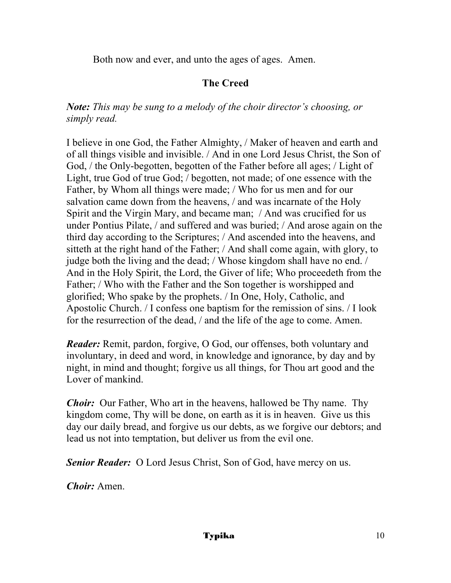Both now and ever, and unto the ages of ages. Amen.

# **The Creed**

*Note: This may be sung to a melody of the choir director's choosing, or simply read.*

I believe in one God, the Father Almighty, / Maker of heaven and earth and of all things visible and invisible. / And in one Lord Jesus Christ, the Son of God, / the Only-begotten, begotten of the Father before all ages; / Light of Light, true God of true God; / begotten, not made; of one essence with the Father, by Whom all things were made; / Who for us men and for our salvation came down from the heavens, / and was incarnate of the Holy Spirit and the Virgin Mary, and became man; / And was crucified for us under Pontius Pilate, / and suffered and was buried; / And arose again on the third day according to the Scriptures; / And ascended into the heavens, and sitteth at the right hand of the Father; / And shall come again, with glory, to judge both the living and the dead; / Whose kingdom shall have no end. / And in the Holy Spirit, the Lord, the Giver of life; Who proceedeth from the Father; / Who with the Father and the Son together is worshipped and glorified; Who spake by the prophets. / In One, Holy, Catholic, and Apostolic Church. / I confess one baptism for the remission of sins. / I look for the resurrection of the dead, / and the life of the age to come. Amen.

*Reader:* Remit, pardon, forgive, O God, our offenses, both voluntary and involuntary, in deed and word, in knowledge and ignorance, by day and by night, in mind and thought; forgive us all things, for Thou art good and the Lover of mankind.

*Choir:* Our Father, Who art in the heavens, hallowed be Thy name. Thy kingdom come, Thy will be done, on earth as it is in heaven. Give us this day our daily bread, and forgive us our debts, as we forgive our debtors; and lead us not into temptation, but deliver us from the evil one.

*Senior Reader:* O Lord Jesus Christ, Son of God, have mercy on us.

*Choir:* Amen.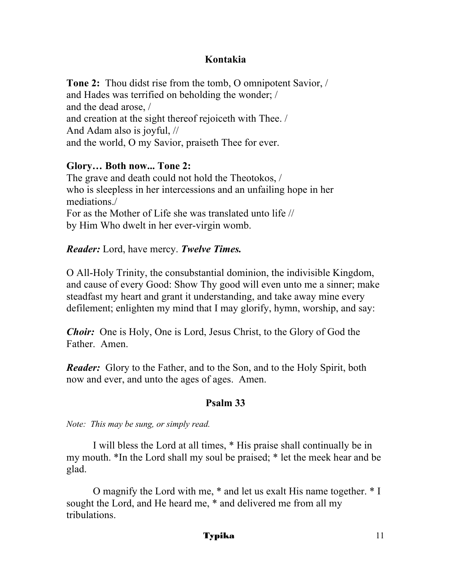## **Kontakia**

**Tone 2:** Thou didst rise from the tomb, O omnipotent Savior, / and Hades was terrified on beholding the wonder; / and the dead arose, / and creation at the sight thereof rejoiceth with Thee. / And Adam also is joyful, // and the world, O my Savior, praiseth Thee for ever.

### **Glory… Both now... Tone 2:**

The grave and death could not hold the Theotokos, / who is sleepless in her intercessions and an unfailing hope in her mediations./ For as the Mother of Life she was translated unto life // by Him Who dwelt in her ever-virgin womb.

*Reader:* Lord, have mercy. *Twelve Times.*

O All-Holy Trinity, the consubstantial dominion, the indivisible Kingdom, and cause of every Good: Show Thy good will even unto me a sinner; make steadfast my heart and grant it understanding, and take away mine every defilement; enlighten my mind that I may glorify, hymn, worship, and say:

*Choir*: One is Holy, One is Lord, Jesus Christ, to the Glory of God the Father. Amen.

*Reader:* Glory to the Father, and to the Son, and to the Holy Spirit, both now and ever, and unto the ages of ages. Amen.

## **Psalm 33**

*Note: This may be sung, or simply read.*

I will bless the Lord at all times, \* His praise shall continually be in my mouth. \*In the Lord shall my soul be praised; \* let the meek hear and be glad.

O magnify the Lord with me, \* and let us exalt His name together. \* I sought the Lord, and He heard me, \* and delivered me from all my tribulations.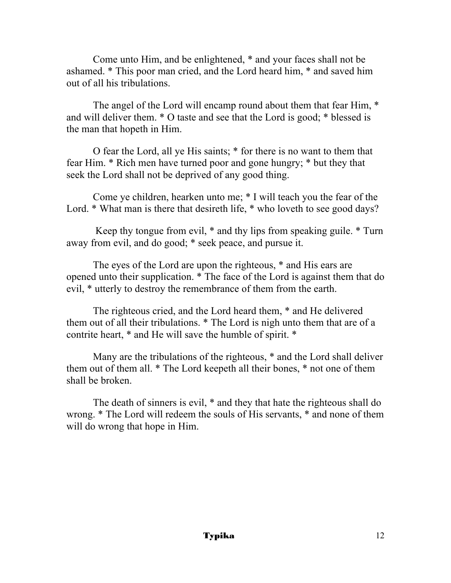Come unto Him, and be enlightened, \* and your faces shall not be ashamed. \* This poor man cried, and the Lord heard him, \* and saved him out of all his tribulations.

The angel of the Lord will encamp round about them that fear Him,  $*$ and will deliver them. \* O taste and see that the Lord is good; \* blessed is the man that hopeth in Him.

O fear the Lord, all ye His saints; \* for there is no want to them that fear Him. \* Rich men have turned poor and gone hungry; \* but they that seek the Lord shall not be deprived of any good thing.

Come ye children, hearken unto me; \* I will teach you the fear of the Lord. \* What man is there that desireth life, \* who loveth to see good days?

Keep thy tongue from evil, \* and thy lips from speaking guile. \* Turn away from evil, and do good; \* seek peace, and pursue it.

The eyes of the Lord are upon the righteous, \* and His ears are opened unto their supplication. \* The face of the Lord is against them that do evil, \* utterly to destroy the remembrance of them from the earth.

The righteous cried, and the Lord heard them, \* and He delivered them out of all their tribulations. \* The Lord is nigh unto them that are of a contrite heart, \* and He will save the humble of spirit. \*

Many are the tribulations of the righteous, \* and the Lord shall deliver them out of them all. \* The Lord keepeth all their bones, \* not one of them shall be broken.

The death of sinners is evil, \* and they that hate the righteous shall do wrong. \* The Lord will redeem the souls of His servants, \* and none of them will do wrong that hope in Him.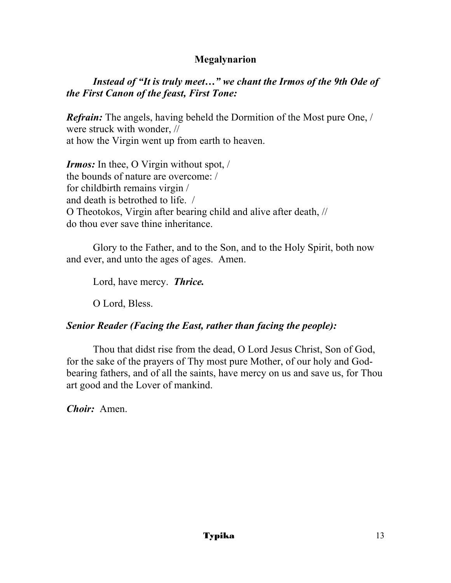## **Megalynarion**

## *Instead of "It is truly meet…" we chant the Irmos of the 9th Ode of the First Canon of the feast, First Tone:*

*Refrain:* The angels, having beheld the Dormition of the Most pure One, / were struck with wonder, // at how the Virgin went up from earth to heaven.

*Irmos:* In thee, O Virgin without spot, / the bounds of nature are overcome: / for childbirth remains virgin / and death is betrothed to life. / O Theotokos, Virgin after bearing child and alive after death, // do thou ever save thine inheritance.

Glory to the Father, and to the Son, and to the Holy Spirit, both now and ever, and unto the ages of ages. Amen.

Lord, have mercy. *Thrice.*

O Lord, Bless.

## *Senior Reader (Facing the East, rather than facing the people):*

Thou that didst rise from the dead, O Lord Jesus Christ, Son of God, for the sake of the prayers of Thy most pure Mother, of our holy and Godbearing fathers, and of all the saints, have mercy on us and save us, for Thou art good and the Lover of mankind.

*Choir:* Amen.